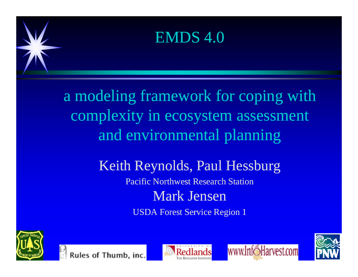#### EMDS 4.0

a modeling framework for coping with complexity in ecosystem assessment and environmental planning

#### Keith Reynolds, Paul Hessburg

Pacific Northwest Research Station

#### Mark Jensen

**USDA Forest Service Region 1** 







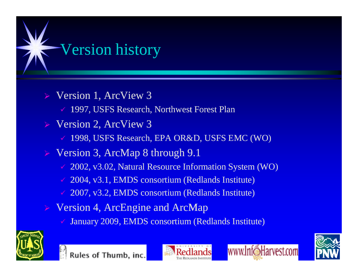

Version 4, ArcEngine and ArcMap

January 2009, EMDS consortium (Redlands Institute)







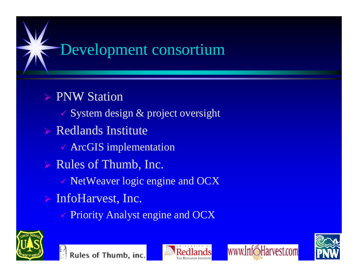

#### $\triangleright$  PNW Station

- $\checkmark$  System design & project oversight
- $\triangleright$  Redlands Institute
	- $\checkmark$  ArcGIS implementation
- $\triangleright$  Rules of Thumb, Inc.
	- $\checkmark$  NetWeaver logic engine and OCX
- $\triangleright$  InfoHarvest, Inc.
	- Priority Analyst engine and OCX





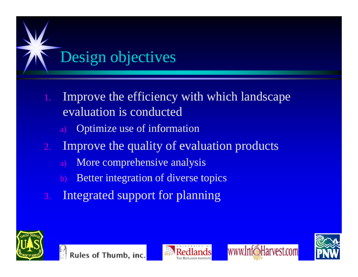

- 1. Improve the efficiency with which landscape evaluation is conducted
	- a) Optimize use of information
- 2. Improve the quality of evaluation products
	- a) More comprehensive analysis
	- Better integration of diverse topics
- 3. Integrated support for planning







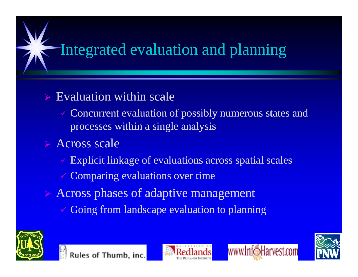### Integrated evaluation and planning

#### $\triangleright$  Evaluation within scale

- $\checkmark$  Concurrent evaluation of possibly numerous states and processes within a single analysis
- $\triangleright$  Across scale
	- $\checkmark$  Explicit linkage of evaluations across spatial scales
	- $\checkmark$  Comparing evaluations over time
- $\triangleright$  Across phases of adaptive management
	- Going from landscape evaluation to planning







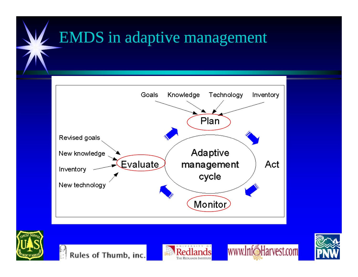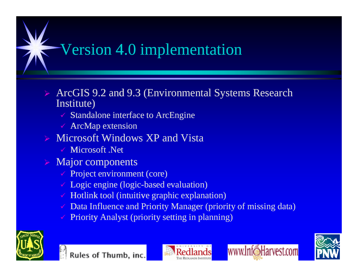# $\overline{\mathsf{V}}$ ersion 4.0 implementation

- ArcGIS 9.2 and 9.3 (Environmental Systems Research Institute)
	- $\checkmark$  Standalone interface to ArcEngine
	- $\checkmark$  ArcMap extension
- $\triangleright$  Microsoft Windows XP and Vista
	- $\checkmark$  Microsoft .Net
- $\triangleright$  Major components
	- $\sqrt{P}$  Project environment (core)
	- $\checkmark$  Logic engine (logic-based evaluation)
	- $\checkmark$  Hotlink tool (intuitive graphic explanation)
	- Data Influence and Priority Manager (priority of missing data)
	- Priority Analyst (priority setting in planning)







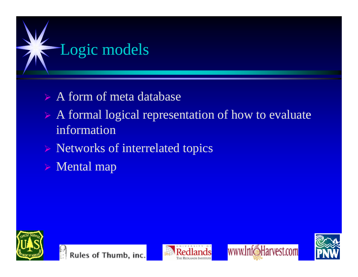

- $\triangleright$  A form of meta database
- $\triangleright$  A formal logical representation of how to evaluate information
- $\triangleright$  Networks of interrelated topics
- $\triangleright$  Mental map







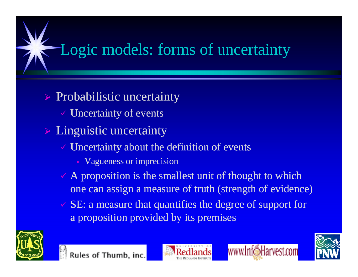## Logic models: forms of uncertainty

 $\triangleright$  Probabilistic uncertainty  $\checkmark$  Uncertainty of events  $\triangleright$  Linguistic uncertainty  $\checkmark$  Uncertainty about the definition of events

- Vagueness or imprecision
- $\vee$  A proposition is the smallest unit of thought to which one can assign a measure of truth (strength of evidence)
- $\checkmark$  SE: a measure that quantifies the degree of support for a proposition provided by its premises







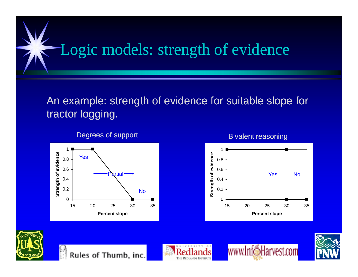# Logic models: strength of evidence

#### An example: strength of evidence for suitable slope for tractor logging.



Degrees of support Bivalent reasoning











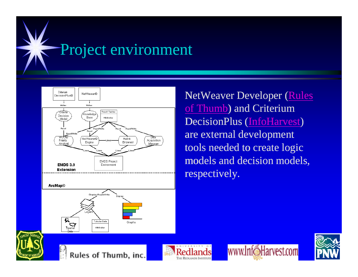



NetWeaver Developer (Rules of Thumb) and Criterium DecisionPlus (InfoHarvest) are external development tools needed to create logic models and decision models, respectively.







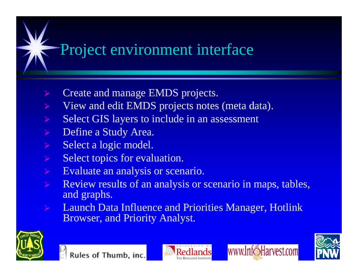#### Project environment interface

- $\triangleright$  Create and manage EMDS projects.
- $\triangleright$  View and edit EMDS projects notes (meta data).
- $\triangleright$  Select GIS layers to include in an assessment
- $\triangleright$  Define a Study Area.
- $\triangleright$  Select a logic model.
- $\triangleright$  Select topics for evaluation.
- $\triangleright$  Evaluate an analysis or scenario.
- Review results of an analysis or scenario in maps, tables, and graphs.
- Launch Data Influence and Priorities Manager, Hotlink Browser, and Priority Analyst.





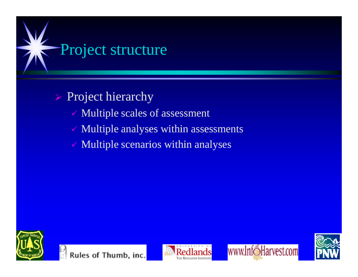

#### $\triangleright$  Project hierarchy

- $\checkmark$  Multiple scales of assessment
- $\checkmark$  Multiple analyses within assessments
- $\checkmark$  Multiple scenarios within analyses







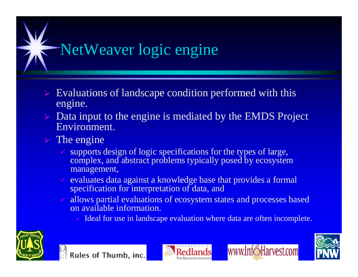

- $\triangleright$  Evaluations of landscape condition performed with this engine.
- $\triangleright$  Data input to the engine is mediated by the EMDS Project Environment.
- $\triangleright$  The engine
	- supports design of logic specifications for the types of large, complex, and abstract problems typically posed by ecosystem management,
	- $\checkmark$  evaluates data against a knowledge base that provides a formal specification for interpretation of data, and
	- $\checkmark$  allows partial evaluations of ecosystem states and processes based on available information.
		- Ideal for use in landscape evaluation where data are often incomplete.







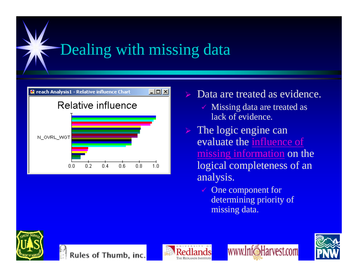# Dealing with missing data



- Data are treated as evidence.
	- $\checkmark$  Missing data are treated as lack of evidence.
- $\triangleright$  The logic engine can evaluate the influence of missing information on the logical completeness of an analysis.
	- $\checkmark$  One component for determining priority of missing data.







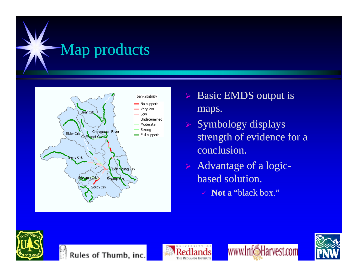



- $\triangleright$  Basic EMDS output is maps.
- $\triangleright$  Symbology displays strength of evidence for a conclusion.
- $\triangleright$  Advantage of a logicbased solution.
	- **√** Not a "black box."









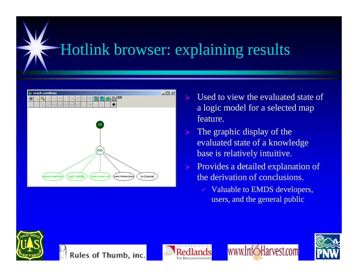#### Hotlink browser: explaining results



- Used to view the evaluated state of a logic model for a selected map feature.
- $\triangleright$  The graphic display of the evaluated state of a knowledge base is relatively intuitive.
- Provides a detailed explanation of the derivation of conclusions.
	- $\checkmark$  Valuable to EMDS developers, users, and the general public







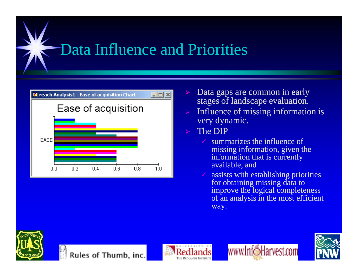# Data Influence and Priorities



- Data gaps are common in early stages of landscape evaluation.
- $\triangleright$  Influence of missing information is very dynamic.
- $\triangleright$  The DIP
	- $\checkmark$  summarizes the influence of missing information, given the information that is currently available, and
	- $\checkmark$  assists with establishing priorities for obtaining missing data to improve the logical completeness of an analysis in the most efficient way.







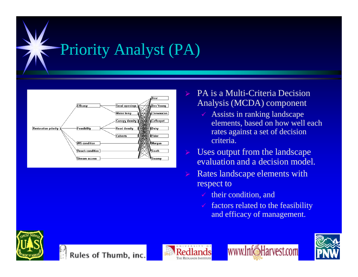



- PA is a Multi-Criteria Decision Analysis (MCDA) component
	- $\checkmark$  Assists in ranking landscape elements, based on how well each rates against a set of decision criteria.
- $\triangleright$  Uses output from the landscape evaluation and a decision model.
- $\triangleright$  Rates landscape elements with respect to
	- $\checkmark$  their condition, and
	- $\checkmark$  factors related to the feasibility and efficacy of management.









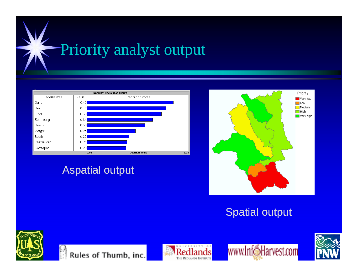



**Aspatial output** 



**Spatial output** 







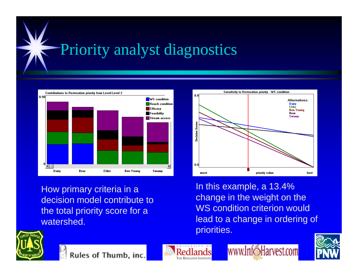# Priority analyst diagnostics



How primary criteria in a decision model contribute to the total priority score for a watershed.

In this example, a 13.4% change in the weight on the WS condition criterion would lead to a change in ordering of priorities.

priority value

Sensitivity to Restoration priority - WS condition

Alternatives:

**Ben Young** 

best

Dairy<br>Elder

Bear **Swamn** 



Rules of Thumb, inc.



0.8

S. Decision

 $0.0$ 

worst



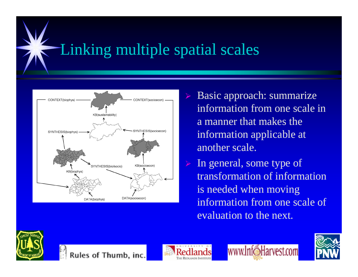#### Linking multiple spatial scales



 $\triangleright$  Basic approach: summarize information from one scale in a manner that makes the information applicable at another scale.

 $\triangleright$  In general, some type of transformation of information is needed when moving information from one scale of evaluation to the next.







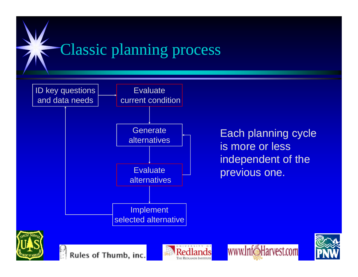

THE REDLANDS INSTITU

Each planning cycle is more or less independent of the previous one.

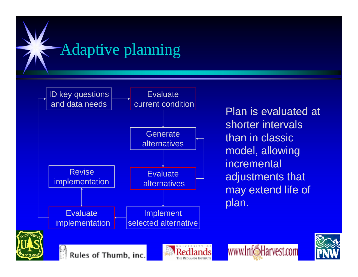

Plan is evaluated at shorter intervals  $\begin{matrix} \text{Generate} \ \text{deterministic} \end{matrix}$  than in classic model, allowing incremental adjustments that may extend life of plan.

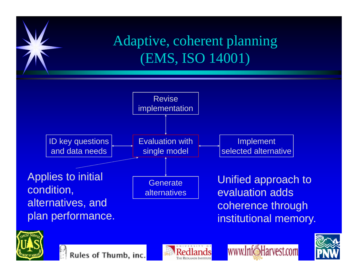





www.InfoHarvest.com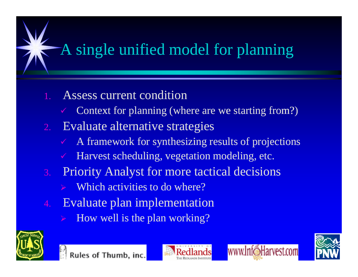## A single unified model for planning

- 1. Assess current condition
	- Context for planning (where are we starting from?)
- 2. Evaluate alternative strategies
	- A framework for synthesizing results of projections
	- Harvest scheduling, vegetation modeling, etc.
- 3. Priority Analyst for more tactical decisions
	- Which activities to do where?
- Evaluate plan implementation
	- How well is the plan working?





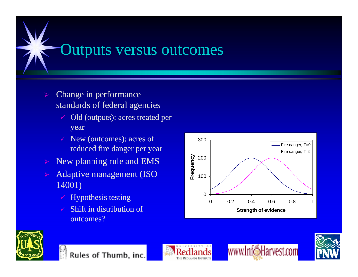#### Outputs versus outcomes

- $\triangleright$  Change in performance standards of federal agencies
	- $\checkmark$  Old (outputs): acres treated per year
	- $\checkmark$  New (outcomes): acres of  $\checkmark$  300 reduced fire danger per year
- New planning rule and EMS
- Adaptive management (ISO 14001)
	- $\checkmark$  Hypothesis testing
	- Shift in distribution of outcomes?